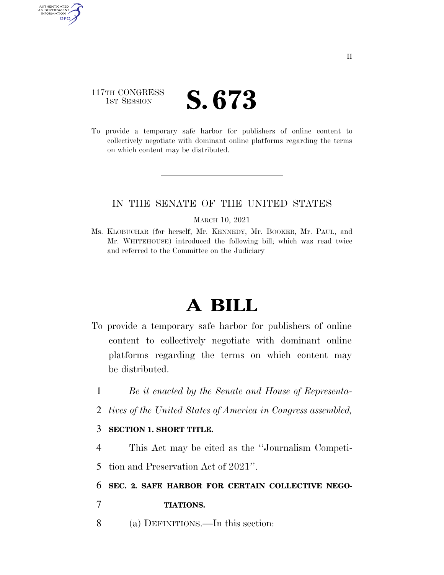# 117TH CONGRESS **IST SESSION S. 673**

AUTHENTICATED<br>U.S. GOVERNMENT<br>INFORMATION GPO

> To provide a temporary safe harbor for publishers of online content to collectively negotiate with dominant online platforms regarding the terms on which content may be distributed.

## IN THE SENATE OF THE UNITED STATES

#### MARCH 10, 2021

Ms. KLOBUCHAR (for herself, Mr. KENNEDY, Mr. BOOKER, Mr. PAUL, and Mr. WHITEHOUSE) introduced the following bill; which was read twice and referred to the Committee on the Judiciary

# **A BILL**

- To provide a temporary safe harbor for publishers of online content to collectively negotiate with dominant online platforms regarding the terms on which content may be distributed.
	- 1 *Be it enacted by the Senate and House of Representa-*
	- 2 *tives of the United States of America in Congress assembled,*

## 3 **SECTION 1. SHORT TITLE.**

4 This Act may be cited as the ''Journalism Competi-

5 tion and Preservation Act of 2021''.

6 **SEC. 2. SAFE HARBOR FOR CERTAIN COLLECTIVE NEGO-**

- 7 **TIATIONS.**
- 8 (a) DEFINITIONS.—In this section: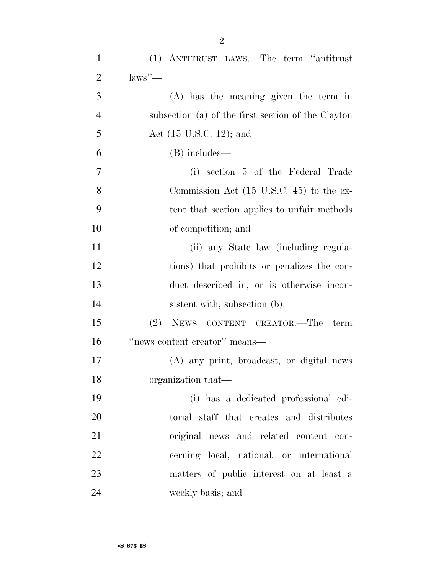| $\mathbf{1}$   | (1) ANTITRUST LAWS.—The term "antitrust"            |
|----------------|-----------------------------------------------------|
| $\overline{2}$ | $\text{laws}$ "—                                    |
| 3              | $(A)$ has the meaning given the term in             |
| $\overline{4}$ | subsection (a) of the first section of the Clayton  |
| 5              | Act $(15 \text{ U.S.C. } 12)$ ; and                 |
| 6              | (B) includes—                                       |
| 7              | (i) section 5 of the Federal Trade                  |
| 8              | Commission Act $(15 \text{ U.S.C. } 45)$ to the ex- |
| 9              | tent that section applies to unfair methods         |
| 10             | of competition; and                                 |
| 11             | (ii) any State law (including regula-               |
| 12             | tions) that prohibits or penalizes the con-         |
| 13             | duct described in, or is otherwise incon-           |
| 14             | sistent with, subsection (b).                       |
| 15             | (2)<br>NEWS CONTENT CREATOR.-The<br>term            |
| 16             | "news content creator" means-                       |
| 17             | (A) any print, broadcast, or digital news           |
| 18             | organization that—                                  |
| 19             | (i) has a dedicated professional edi-               |
| 20             | torial staff that creates and distributes           |
| 21             | original news and related content con-              |
| 22             | cerning local, national, or international           |
| 23             | matters of public interest on at least a            |
| 24             | weekly basis; and                                   |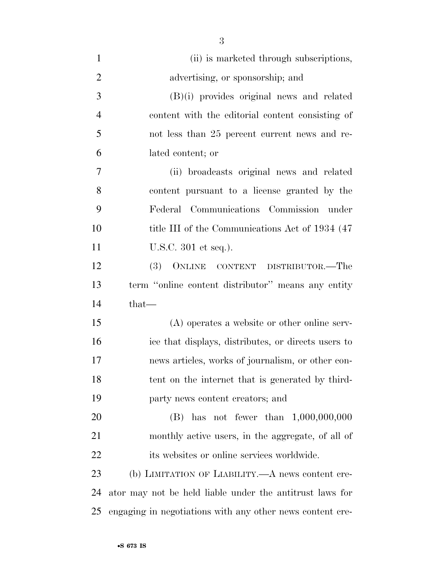| $\mathbf{1}$   | (ii) is marketed through subscriptions,                   |
|----------------|-----------------------------------------------------------|
| $\overline{2}$ | advertising, or sponsorship; and                          |
| 3              | $(B)(i)$ provides original news and related               |
| $\overline{4}$ | content with the editorial content consisting of          |
| 5              | not less than 25 percent current news and re-             |
| 6              | lated content; or                                         |
| $\overline{7}$ | (ii) broadcasts original news and related                 |
| 8              | content pursuant to a license granted by the              |
| 9              | Federal Communications Commission under                   |
| 10             | title III of the Communications Act of 1934 (47)          |
| 11             | U.S.C. 301 et seq.).                                      |
| 12             | (3) ONLINE CONTENT DISTRIBUTOR.—The                       |
| 13             | term "online content distributor" means any entity        |
| 14             | $that-$                                                   |
| 15             | $(A)$ operates a website or other online serv-            |
| 16             | ice that displays, distributes, or directs users to       |
| 17             | news articles, works of journalism, or other con-         |
| 18             | tent on the internet that is generated by third-          |
| 19             | party news content creators; and                          |
| 20             | (B) has not fewer than $1,000,000,000$                    |
| 21             | monthly active users, in the aggregate, of all of         |
| 22             | its websites or online services worldwide.                |
| 23             | (b) LIMITATION OF LIABILITY.—A news content cre-          |
| 24             | ator may not be held liable under the antitrust laws for  |
| 25             | engaging in negotiations with any other news content cre- |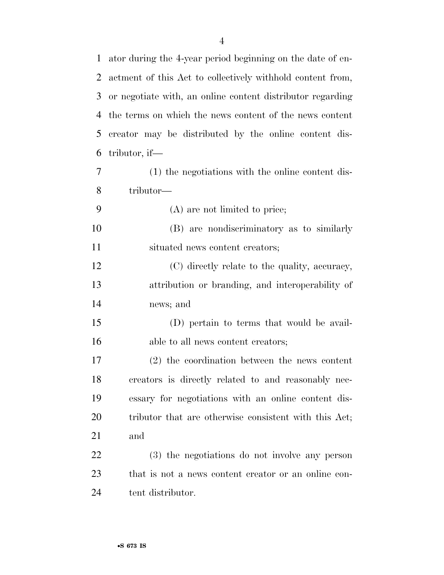| $\mathbf{1}$ | ator during the 4-year period beginning on the date of en- |
|--------------|------------------------------------------------------------|
| 2            | actment of this Act to collectively withhold content from, |
| 3            | or negotiate with, an online content distributor regarding |
| 4            | the terms on which the news content of the news content    |
| 5            | creator may be distributed by the online content dis-      |
| 6            | tributor, if—                                              |
| 7            | (1) the negotiations with the online content dis-          |
| 8            | tributor—                                                  |
| 9            | (A) are not limited to price;                              |
| 10           | (B) are nondiscriminatory as to similarly                  |
| 11           | situated news content creators;                            |
| 12           | (C) directly relate to the quality, accuracy,              |
| 13           | attribution or branding, and interoperability of           |
| 14           | news; and                                                  |
| 15           | (D) pertain to terms that would be avail-                  |
| 16           | able to all news content creators;                         |
| 17           | (2) the coordination between the news content              |
| 18           | creators is directly related to and reasonably nec-        |
| 19           | essary for negotiations with an online content dis-        |
| 20           | tributor that are otherwise consistent with this Act;      |
| 21           | and                                                        |
| 22           | (3) the negotiations do not involve any person             |
| 23           | that is not a news content creator or an online con-       |
| 24           | tent distributor.                                          |